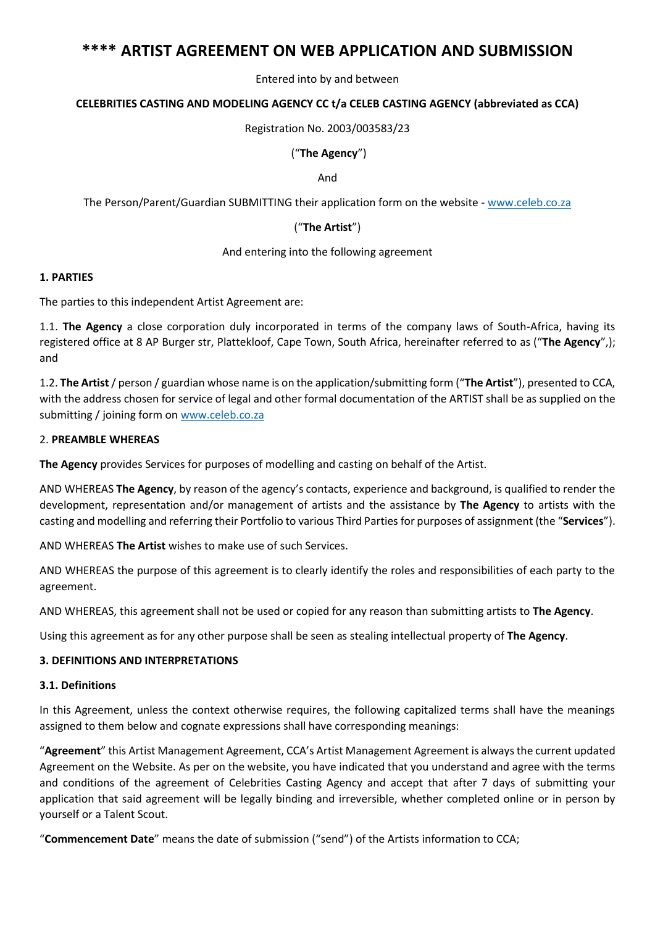# **\*\*\*\* ARTIST AGREEMENT ON WEB APPLICATION AND SUBMISSION**

Entered into by and between

### **CELEBRITIES CASTING AND MODELING AGENCY CC t/a CELEB CASTING AGENCY (abbreviated as CCA)**

Registration No. 2003/003583/23

#### ("**The Agency**")

And

The Person/Parent/Guardian SUBMITTING their application form on the website - [www.celeb.co.za](http://www.celeb.co.za/)

### ("**The Artist**")

#### And entering into the following agreement

### **1. PARTIES**

The parties to this independent Artist Agreement are:

1.1. **The Agency** a close corporation duly incorporated in terms of the company laws of South-Africa, having its registered office at 8 AP Burger str, Plattekloof, Cape Town, South Africa, hereinafter referred to as ("**The Agency**",); and

1.2. **The Artist**/ person / guardian whose name is on the application/submitting form ("**The Artist**"), presented to CCA, with the address chosen for service of legal and other formal documentation of the ARTIST shall be as supplied on the submitting / joining form on [www.celeb.co.za](http://www.celeb.co.za/)

### 2. **PREAMBLE WHEREAS**

**The Agency** provides Services for purposes of modelling and casting on behalf of the Artist.

AND WHEREAS **The Agency**, by reason of the agency's contacts, experience and background, is qualified to render the development, representation and/or management of artists and the assistance by **The Agency** to artists with the casting and modelling and referring their Portfolio to various Third Parties for purposes of assignment (the "**Services**").

AND WHEREAS **The Artist** wishes to make use of such Services.

AND WHEREAS the purpose of this agreement is to clearly identify the roles and responsibilities of each party to the agreement.

AND WHEREAS, this agreement shall not be used or copied for any reason than submitting artists to **The Agency**.

Using this agreement as for any other purpose shall be seen as stealing intellectual property of **The Agency**.

#### **3. DEFINITIONS AND INTERPRETATIONS**

#### **3.1. Definitions**

In this Agreement, unless the context otherwise requires, the following capitalized terms shall have the meanings assigned to them below and cognate expressions shall have corresponding meanings:

"**Agreement**" this Artist Management Agreement, CCA's Artist Management Agreement is always the current updated Agreement on the Website. As per on the website, you have indicated that you understand and agree with the terms and conditions of the agreement of Celebrities Casting Agency and accept that after 7 days of submitting your application that said agreement will be legally binding and irreversible, whether completed online or in person by yourself or a Talent Scout.

"**Commencement Date**" means the date of submission ("send") of the Artists information to CCA;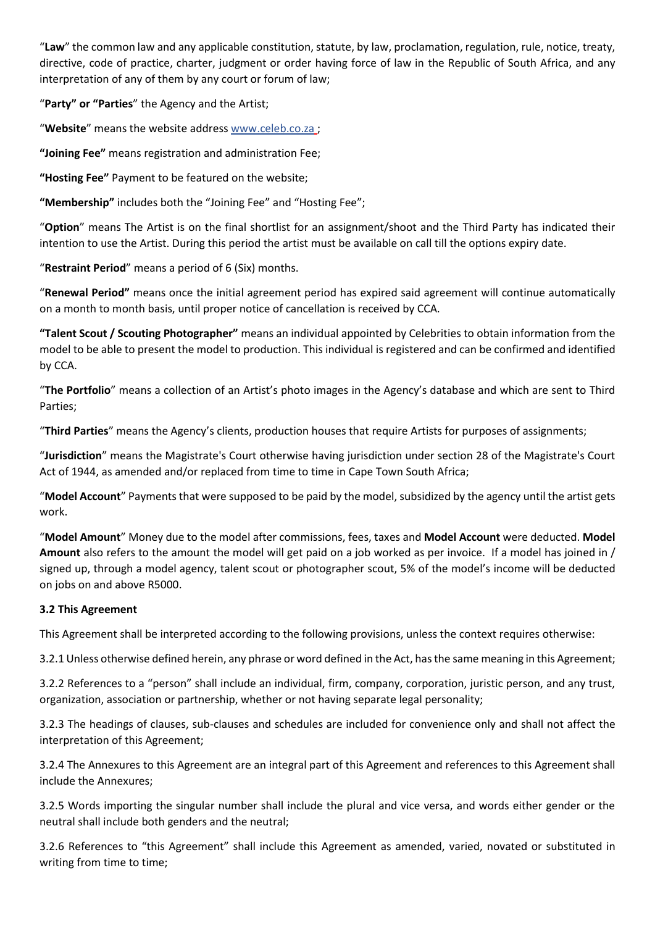"**Law**" the common law and any applicable constitution, statute, by law, proclamation, regulation, rule, notice, treaty, directive, code of practice, charter, judgment or order having force of law in the Republic of South Africa, and any interpretation of any of them by any court or forum of law;

"**Party" or "Parties**" the Agency and the Artist;

"**Website**" means the website address [www.celeb.co.za](http://www.celeb.co.za/) ;

**"Joining Fee"** means registration and administration Fee;

**"Hosting Fee"** Payment to be featured on the website;

**"Membership"** includes both the "Joining Fee" and "Hosting Fee";

"**Option**" means The Artist is on the final shortlist for an assignment/shoot and the Third Party has indicated their intention to use the Artist. During this period the artist must be available on call till the options expiry date.

"**Restraint Period**" means a period of 6 (Six) months.

"**Renewal Period"** means once the initial agreement period has expired said agreement will continue automatically on a month to month basis, until proper notice of cancellation is received by CCA.

**"Talent Scout / Scouting Photographer"** means an individual appointed by Celebrities to obtain information from the model to be able to present the model to production. This individual is registered and can be confirmed and identified by CCA.

"**The Portfolio**" means a collection of an Artist's photo images in the Agency's database and which are sent to Third Parties;

"**Third Parties**" means the Agency's clients, production houses that require Artists for purposes of assignments;

"**Jurisdiction**" means the Magistrate's Court otherwise having jurisdiction under section 28 of the Magistrate's Court Act of 1944, as amended and/or replaced from time to time in Cape Town South Africa;

"**Model Account**" Payments that were supposed to be paid by the model, subsidized by the agency until the artist gets work.

"**Model Amount**" Money due to the model after commissions, fees, taxes and **Model Account** were deducted. **Model Amount** also refers to the amount the model will get paid on a job worked as per invoice. If a model has joined in / signed up, through a model agency, talent scout or photographer scout, 5% of the model's income will be deducted on jobs on and above R5000.

### **3.2 This Agreement**

This Agreement shall be interpreted according to the following provisions, unless the context requires otherwise:

3.2.1 Unless otherwise defined herein, any phrase or word defined in the Act, has the same meaning in this Agreement;

3.2.2 References to a "person" shall include an individual, firm, company, corporation, juristic person, and any trust, organization, association or partnership, whether or not having separate legal personality;

3.2.3 The headings of clauses, sub-clauses and schedules are included for convenience only and shall not affect the interpretation of this Agreement;

3.2.4 The Annexures to this Agreement are an integral part of this Agreement and references to this Agreement shall include the Annexures;

3.2.5 Words importing the singular number shall include the plural and vice versa, and words either gender or the neutral shall include both genders and the neutral;

3.2.6 References to "this Agreement" shall include this Agreement as amended, varied, novated or substituted in writing from time to time;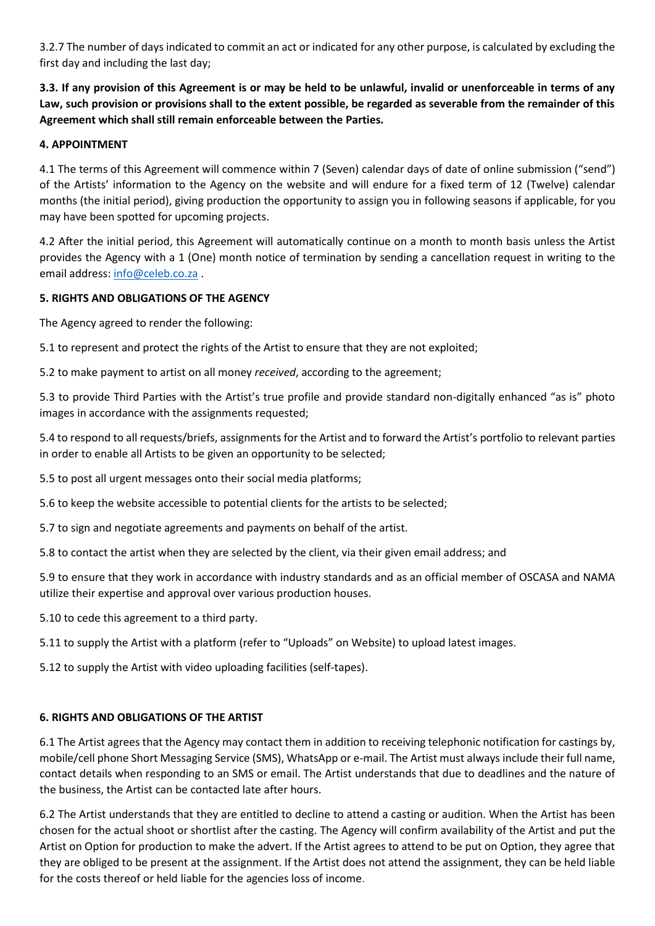3.2.7 The number of days indicated to commit an act or indicated for any other purpose, is calculated by excluding the first day and including the last day;

**3.3. If any provision of this Agreement is or may be held to be unlawful, invalid or unenforceable in terms of any Law, such provision or provisions shall to the extent possible, be regarded as severable from the remainder of this Agreement which shall still remain enforceable between the Parties.** 

### **4. APPOINTMENT**

4.1 The terms of this Agreement will commence within 7 (Seven) calendar days of date of online submission ("send") of the Artists' information to the Agency on the website and will endure for a fixed term of 12 (Twelve) calendar months (the initial period), giving production the opportunity to assign you in following seasons if applicable, for you may have been spotted for upcoming projects.

4.2 After the initial period, this Agreement will automatically continue on a month to month basis unless the Artist provides the Agency with a 1 (One) month notice of termination by sending a cancellation request in writing to the email address: [info@celeb.co.za](mailto:info@celeb.co.za) .

### **5. RIGHTS AND OBLIGATIONS OF THE AGENCY**

The Agency agreed to render the following:

5.1 to represent and protect the rights of the Artist to ensure that they are not exploited;

5.2 to make payment to artist on all money *received*, according to the agreement;

5.3 to provide Third Parties with the Artist's true profile and provide standard non-digitally enhanced "as is" photo images in accordance with the assignments requested;

5.4 to respond to all requests/briefs, assignments for the Artist and to forward the Artist's portfolio to relevant parties in order to enable all Artists to be given an opportunity to be selected;

5.5 to post all urgent messages onto their social media platforms;

5.6 to keep the website accessible to potential clients for the artists to be selected;

5.7 to sign and negotiate agreements and payments on behalf of the artist.

5.8 to contact the artist when they are selected by the client, via their given email address; and

5.9 to ensure that they work in accordance with industry standards and as an official member of OSCASA and NAMA utilize their expertise and approval over various production houses.

5.10 to cede this agreement to a third party.

5.11 to supply the Artist with a platform (refer to "Uploads" on Website) to upload latest images.

5.12 to supply the Artist with video uploading facilities (self-tapes).

### **6. RIGHTS AND OBLIGATIONS OF THE ARTIST**

6.1 The Artist agrees that the Agency may contact them in addition to receiving telephonic notification for castings by, mobile/cell phone Short Messaging Service (SMS), WhatsApp or e-mail. The Artist must always include their full name, contact details when responding to an SMS or email. The Artist understands that due to deadlines and the nature of the business, the Artist can be contacted late after hours.

6.2 The Artist understands that they are entitled to decline to attend a casting or audition. When the Artist has been chosen for the actual shoot or shortlist after the casting. The Agency will confirm availability of the Artist and put the Artist on Option for production to make the advert. If the Artist agrees to attend to be put on Option, they agree that they are obliged to be present at the assignment. If the Artist does not attend the assignment, they can be held liable for the costs thereof or held liable for the agencies loss of income.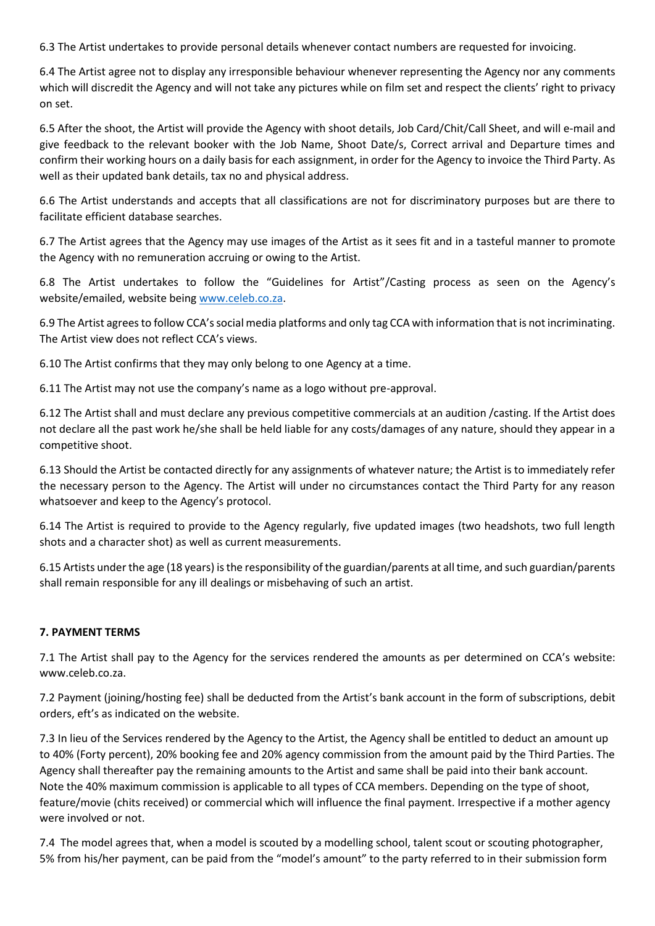6.3 The Artist undertakes to provide personal details whenever contact numbers are requested for invoicing.

6.4 The Artist agree not to display any irresponsible behaviour whenever representing the Agency nor any comments which will discredit the Agency and will not take any pictures while on film set and respect the clients' right to privacy on set.

6.5 After the shoot, the Artist will provide the Agency with shoot details, Job Card/Chit/Call Sheet, and will e-mail and give feedback to the relevant booker with the Job Name, Shoot Date/s, Correct arrival and Departure times and confirm their working hours on a daily basis for each assignment, in order for the Agency to invoice the Third Party. As well as their updated bank details, tax no and physical address.

6.6 The Artist understands and accepts that all classifications are not for discriminatory purposes but are there to facilitate efficient database searches.

6.7 The Artist agrees that the Agency may use images of the Artist as it sees fit and in a tasteful manner to promote the Agency with no remuneration accruing or owing to the Artist.

6.8 The Artist undertakes to follow the "Guidelines for Artist"/Casting process as seen on the Agency's website/emailed, website being [www.celeb.co.za.](http://www.celeb.co.za/)

6.9 The Artist agrees to follow CCA's social media platforms and only tag CCA with information that is not incriminating. The Artist view does not reflect CCA's views.

6.10 The Artist confirms that they may only belong to one Agency at a time.

6.11 The Artist may not use the company's name as a logo without pre-approval.

6.12 The Artist shall and must declare any previous competitive commercials at an audition /casting. If the Artist does not declare all the past work he/she shall be held liable for any costs/damages of any nature, should they appear in a competitive shoot.

6.13 Should the Artist be contacted directly for any assignments of whatever nature; the Artist is to immediately refer the necessary person to the Agency. The Artist will under no circumstances contact the Third Party for any reason whatsoever and keep to the Agency's protocol.

6.14 The Artist is required to provide to the Agency regularly, five updated images (two headshots, two full length shots and a character shot) as well as current measurements.

6.15 Artists under the age (18 years) is the responsibility of the guardian/parents at all time, and such guardian/parents shall remain responsible for any ill dealings or misbehaving of such an artist.

#### **7. PAYMENT TERMS**

7.1 The Artist shall pay to the Agency for the services rendered the amounts as per determined on CCA's website: www.celeb.co.za.

7.2 Payment (joining/hosting fee) shall be deducted from the Artist's bank account in the form of subscriptions, debit orders, eft's as indicated on the website.

7.3 In lieu of the Services rendered by the Agency to the Artist, the Agency shall be entitled to deduct an amount up to 40% (Forty percent), 20% booking fee and 20% agency commission from the amount paid by the Third Parties. The Agency shall thereafter pay the remaining amounts to the Artist and same shall be paid into their bank account. Note the 40% maximum commission is applicable to all types of CCA members. Depending on the type of shoot, feature/movie (chits received) or commercial which will influence the final payment. Irrespective if a mother agency were involved or not.

7.4 The model agrees that, when a model is scouted by a modelling school, talent scout or scouting photographer, 5% from his/her payment, can be paid from the "model's amount" to the party referred to in their submission form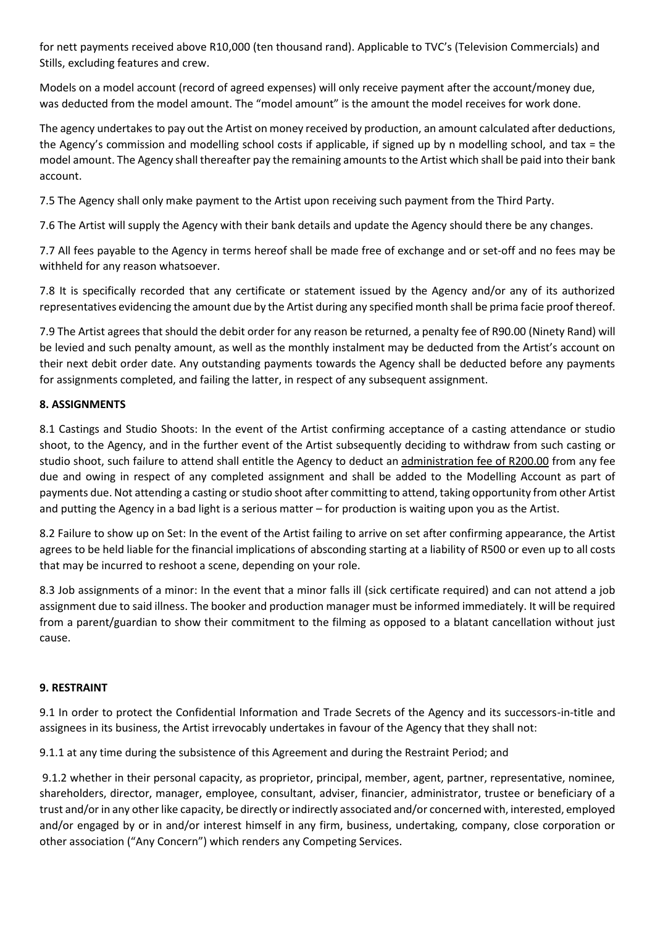for nett payments received above R10,000 (ten thousand rand). Applicable to TVC's (Television Commercials) and Stills, excluding features and crew.

Models on a model account (record of agreed expenses) will only receive payment after the account/money due, was deducted from the model amount. The "model amount" is the amount the model receives for work done.

The agency undertakes to pay out the Artist on money received by production, an amount calculated after deductions, the Agency's commission and modelling school costs if applicable, if signed up by n modelling school, and tax = the model amount. The Agency shall thereafter pay the remaining amounts to the Artist which shall be paid into their bank account.

7.5 The Agency shall only make payment to the Artist upon receiving such payment from the Third Party.

7.6 The Artist will supply the Agency with their bank details and update the Agency should there be any changes.

7.7 All fees payable to the Agency in terms hereof shall be made free of exchange and or set-off and no fees may be withheld for any reason whatsoever.

7.8 It is specifically recorded that any certificate or statement issued by the Agency and/or any of its authorized representatives evidencing the amount due by the Artist during any specified month shall be prima facie proof thereof.

7.9 The Artist agrees that should the debit order for any reason be returned, a penalty fee of R90.00 (Ninety Rand) will be levied and such penalty amount, as well as the monthly instalment may be deducted from the Artist's account on their next debit order date. Any outstanding payments towards the Agency shall be deducted before any payments for assignments completed, and failing the latter, in respect of any subsequent assignment.

### **8. ASSIGNMENTS**

8.1 Castings and Studio Shoots: In the event of the Artist confirming acceptance of a casting attendance or studio shoot, to the Agency, and in the further event of the Artist subsequently deciding to withdraw from such casting or studio shoot, such failure to attend shall entitle the Agency to deduct an administration fee of R200.00 from any fee due and owing in respect of any completed assignment and shall be added to the Modelling Account as part of payments due. Not attending a casting or studio shoot after committing to attend, taking opportunity from other Artist and putting the Agency in a bad light is a serious matter – for production is waiting upon you as the Artist.

8.2 Failure to show up on Set: In the event of the Artist failing to arrive on set after confirming appearance, the Artist agrees to be held liable for the financial implications of absconding starting at a liability of R500 or even up to all costs that may be incurred to reshoot a scene, depending on your role.

8.3 Job assignments of a minor: In the event that a minor falls ill (sick certificate required) and can not attend a job assignment due to said illness. The booker and production manager must be informed immediately. It will be required from a parent/guardian to show their commitment to the filming as opposed to a blatant cancellation without just cause.

### **9. RESTRAINT**

9.1 In order to protect the Confidential Information and Trade Secrets of the Agency and its successors-in-title and assignees in its business, the Artist irrevocably undertakes in favour of the Agency that they shall not:

9.1.1 at any time during the subsistence of this Agreement and during the Restraint Period; and

9.1.2 whether in their personal capacity, as proprietor, principal, member, agent, partner, representative, nominee, shareholders, director, manager, employee, consultant, adviser, financier, administrator, trustee or beneficiary of a trust and/or in any other like capacity, be directly or indirectly associated and/or concerned with, interested, employed and/or engaged by or in and/or interest himself in any firm, business, undertaking, company, close corporation or other association ("Any Concern") which renders any Competing Services.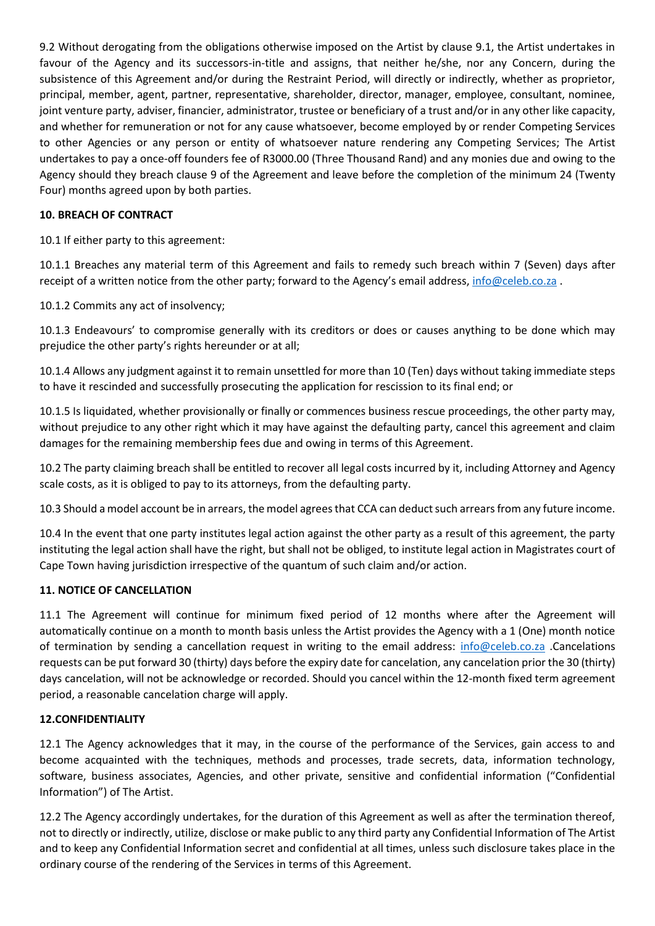9.2 Without derogating from the obligations otherwise imposed on the Artist by clause 9.1, the Artist undertakes in favour of the Agency and its successors-in-title and assigns, that neither he/she, nor any Concern, during the subsistence of this Agreement and/or during the Restraint Period, will directly or indirectly, whether as proprietor, principal, member, agent, partner, representative, shareholder, director, manager, employee, consultant, nominee, joint venture party, adviser, financier, administrator, trustee or beneficiary of a trust and/or in any other like capacity, and whether for remuneration or not for any cause whatsoever, become employed by or render Competing Services to other Agencies or any person or entity of whatsoever nature rendering any Competing Services; The Artist undertakes to pay a once-off founders fee of R3000.00 (Three Thousand Rand) and any monies due and owing to the Agency should they breach clause 9 of the Agreement and leave before the completion of the minimum 24 (Twenty Four) months agreed upon by both parties.

### **10. BREACH OF CONTRACT**

10.1 If either party to this agreement:

10.1.1 Breaches any material term of this Agreement and fails to remedy such breach within 7 (Seven) days after receipt of a written notice from the other party; forward to the Agency's email address, [info@celeb.co.za](mailto:info@celeb.co.za).

10.1.2 Commits any act of insolvency;

10.1.3 Endeavours' to compromise generally with its creditors or does or causes anything to be done which may prejudice the other party's rights hereunder or at all;

10.1.4 Allows any judgment against it to remain unsettled for more than 10 (Ten) days without taking immediate steps to have it rescinded and successfully prosecuting the application for rescission to its final end; or

10.1.5 Is liquidated, whether provisionally or finally or commences business rescue proceedings, the other party may, without prejudice to any other right which it may have against the defaulting party, cancel this agreement and claim damages for the remaining membership fees due and owing in terms of this Agreement.

10.2 The party claiming breach shall be entitled to recover all legal costs incurred by it, including Attorney and Agency scale costs, as it is obliged to pay to its attorneys, from the defaulting party.

10.3 Should a model account be in arrears, the model agrees that CCA can deduct such arrears from any future income.

10.4 In the event that one party institutes legal action against the other party as a result of this agreement, the party instituting the legal action shall have the right, but shall not be obliged, to institute legal action in Magistrates court of Cape Town having jurisdiction irrespective of the quantum of such claim and/or action.

#### **11. NOTICE OF CANCELLATION**

11.1 The Agreement will continue for minimum fixed period of 12 months where after the Agreement will automatically continue on a month to month basis unless the Artist provides the Agency with a 1 (One) month notice of termination by sending a cancellation request in writing to the email address: [info@celeb.co.za](mailto:info@celeb.co.za) .Cancelations requests can be put forward 30 (thirty) days before the expiry date for cancelation, any cancelation prior the 30 (thirty) days cancelation, will not be acknowledge or recorded. Should you cancel within the 12-month fixed term agreement period, a reasonable cancelation charge will apply.

#### **12.CONFIDENTIALITY**

12.1 The Agency acknowledges that it may, in the course of the performance of the Services, gain access to and become acquainted with the techniques, methods and processes, trade secrets, data, information technology, software, business associates, Agencies, and other private, sensitive and confidential information ("Confidential Information") of The Artist.

12.2 The Agency accordingly undertakes, for the duration of this Agreement as well as after the termination thereof, not to directly or indirectly, utilize, disclose or make public to any third party any Confidential Information of The Artist and to keep any Confidential Information secret and confidential at all times, unless such disclosure takes place in the ordinary course of the rendering of the Services in terms of this Agreement.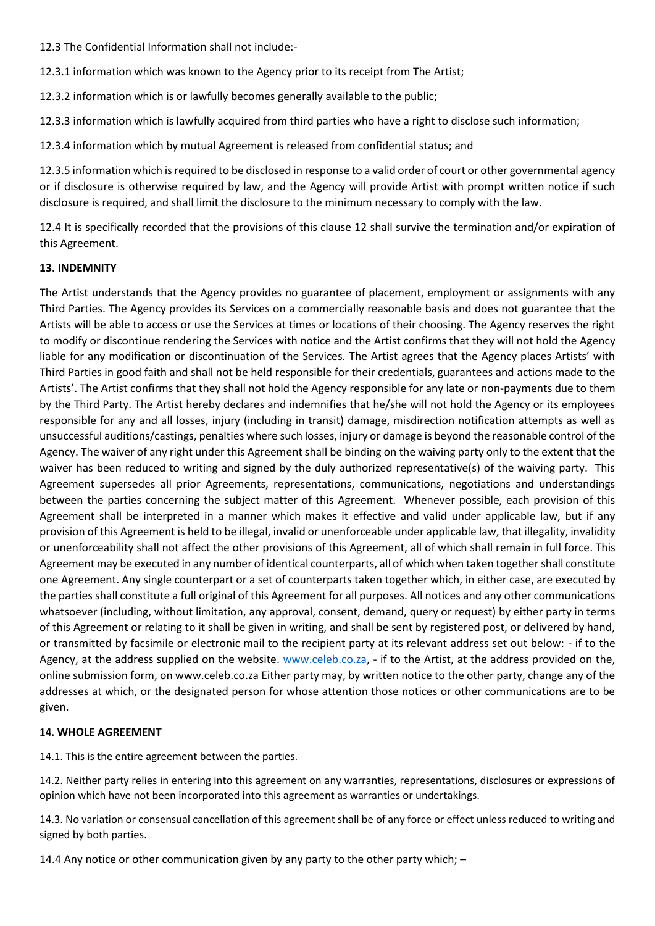12.3 The Confidential Information shall not include:-

12.3.1 information which was known to the Agency prior to its receipt from The Artist;

12.3.2 information which is or lawfully becomes generally available to the public;

12.3.3 information which is lawfully acquired from third parties who have a right to disclose such information;

12.3.4 information which by mutual Agreement is released from confidential status; and

12.3.5 information which is required to be disclosed in response to a valid order of court or other governmental agency or if disclosure is otherwise required by law, and the Agency will provide Artist with prompt written notice if such disclosure is required, and shall limit the disclosure to the minimum necessary to comply with the law.

12.4 It is specifically recorded that the provisions of this clause 12 shall survive the termination and/or expiration of this Agreement.

#### **13. INDEMNITY**

The Artist understands that the Agency provides no guarantee of placement, employment or assignments with any Third Parties. The Agency provides its Services on a commercially reasonable basis and does not guarantee that the Artists will be able to access or use the Services at times or locations of their choosing. The Agency reserves the right to modify or discontinue rendering the Services with notice and the Artist confirms that they will not hold the Agency liable for any modification or discontinuation of the Services. The Artist agrees that the Agency places Artists' with Third Parties in good faith and shall not be held responsible for their credentials, guarantees and actions made to the Artists'. The Artist confirms that they shall not hold the Agency responsible for any late or non-payments due to them by the Third Party. The Artist hereby declares and indemnifies that he/she will not hold the Agency or its employees responsible for any and all losses, injury (including in transit) damage, misdirection notification attempts as well as unsuccessful auditions/castings, penalties where such losses, injury or damage is beyond the reasonable control of the Agency. The waiver of any right under this Agreement shall be binding on the waiving party only to the extent that the waiver has been reduced to writing and signed by the duly authorized representative(s) of the waiving party. This Agreement supersedes all prior Agreements, representations, communications, negotiations and understandings between the parties concerning the subject matter of this Agreement. Whenever possible, each provision of this Agreement shall be interpreted in a manner which makes it effective and valid under applicable law, but if any provision of this Agreement is held to be illegal, invalid or unenforceable under applicable law, that illegality, invalidity or unenforceability shall not affect the other provisions of this Agreement, all of which shall remain in full force. This Agreement may be executed in any number of identical counterparts, all of which when taken together shall constitute one Agreement. Any single counterpart or a set of counterparts taken together which, in either case, are executed by the parties shall constitute a full original of this Agreement for all purposes. All notices and any other communications whatsoever (including, without limitation, any approval, consent, demand, query or request) by either party in terms of this Agreement or relating to it shall be given in writing, and shall be sent by registered post, or delivered by hand, or transmitted by facsimile or electronic mail to the recipient party at its relevant address set out below: - if to the Agency, at the address supplied on the website. [www.celeb.co.za,](http://www.celeb.co.za/) - if to the Artist, at the address provided on the, online submission form, on www.celeb.co.za Either party may, by written notice to the other party, change any of the addresses at which, or the designated person for whose attention those notices or other communications are to be given.

#### **14. WHOLE AGREEMENT**

14.1. This is the entire agreement between the parties.

14.2. Neither party relies in entering into this agreement on any warranties, representations, disclosures or expressions of opinion which have not been incorporated into this agreement as warranties or undertakings.

14.3. No variation or consensual cancellation of this agreement shall be of any force or effect unless reduced to writing and signed by both parties.

14.4 Any notice or other communication given by any party to the other party which; –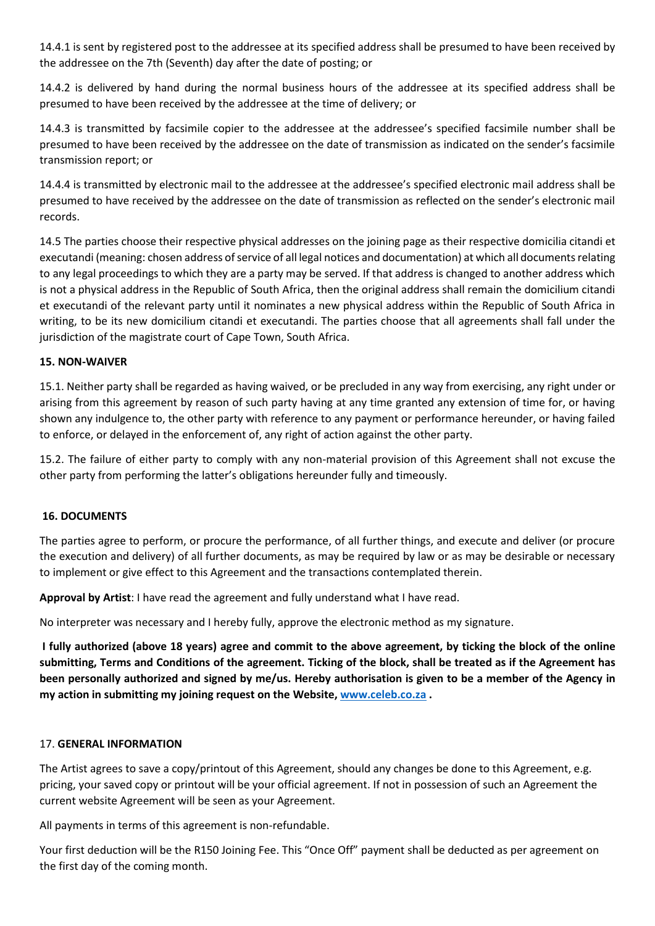14.4.1 is sent by registered post to the addressee at its specified address shall be presumed to have been received by the addressee on the 7th (Seventh) day after the date of posting; or

14.4.2 is delivered by hand during the normal business hours of the addressee at its specified address shall be presumed to have been received by the addressee at the time of delivery; or

14.4.3 is transmitted by facsimile copier to the addressee at the addressee's specified facsimile number shall be presumed to have been received by the addressee on the date of transmission as indicated on the sender's facsimile transmission report; or

14.4.4 is transmitted by electronic mail to the addressee at the addressee's specified electronic mail address shall be presumed to have received by the addressee on the date of transmission as reflected on the sender's electronic mail records.

14.5 The parties choose their respective physical addresses on the joining page as their respective domicilia citandi et executandi (meaning: chosen address of service of all legal notices and documentation) at which all documents relating to any legal proceedings to which they are a party may be served. If that address is changed to another address which is not a physical address in the Republic of South Africa, then the original address shall remain the domicilium citandi et executandi of the relevant party until it nominates a new physical address within the Republic of South Africa in writing, to be its new domicilium citandi et executandi. The parties choose that all agreements shall fall under the jurisdiction of the magistrate court of Cape Town, South Africa.

### **15. NON-WAIVER**

15.1. Neither party shall be regarded as having waived, or be precluded in any way from exercising, any right under or arising from this agreement by reason of such party having at any time granted any extension of time for, or having shown any indulgence to, the other party with reference to any payment or performance hereunder, or having failed to enforce, or delayed in the enforcement of, any right of action against the other party.

15.2. The failure of either party to comply with any non-material provision of this Agreement shall not excuse the other party from performing the latter's obligations hereunder fully and timeously.

#### **16. DOCUMENTS**

The parties agree to perform, or procure the performance, of all further things, and execute and deliver (or procure the execution and delivery) of all further documents, as may be required by law or as may be desirable or necessary to implement or give effect to this Agreement and the transactions contemplated therein.

**Approval by Artist**: I have read the agreement and fully understand what I have read.

No interpreter was necessary and I hereby fully, approve the electronic method as my signature.

**I fully authorized (above 18 years) agree and commit to the above agreement, by ticking the block of the online submitting, Terms and Conditions of the agreement. Ticking of the block, shall be treated as if the Agreement has been personally authorized and signed by me/us. Hereby authorisation is given to be a member of the Agency in my action in submitting my joining request on the Website, [www.celeb.co.za](http://www.celeb.co.za/) .**

#### 17. **GENERAL INFORMATION**

The Artist agrees to save a copy/printout of this Agreement, should any changes be done to this Agreement, e.g. pricing, your saved copy or printout will be your official agreement. If not in possession of such an Agreement the current website Agreement will be seen as your Agreement.

All payments in terms of this agreement is non-refundable.

Your first deduction will be the R150 Joining Fee. This "Once Off" payment shall be deducted as per agreement on the first day of the coming month.